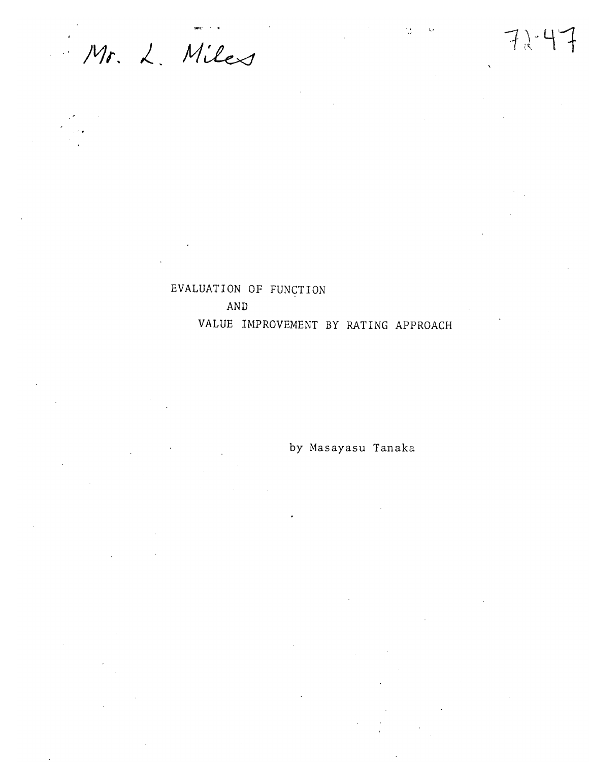Mr. L. Miles

# EVALUATION OF FUNCTION **AND** VALUE IMPROVEMENT BY RATING APPROACH

by Masayasu Tanaka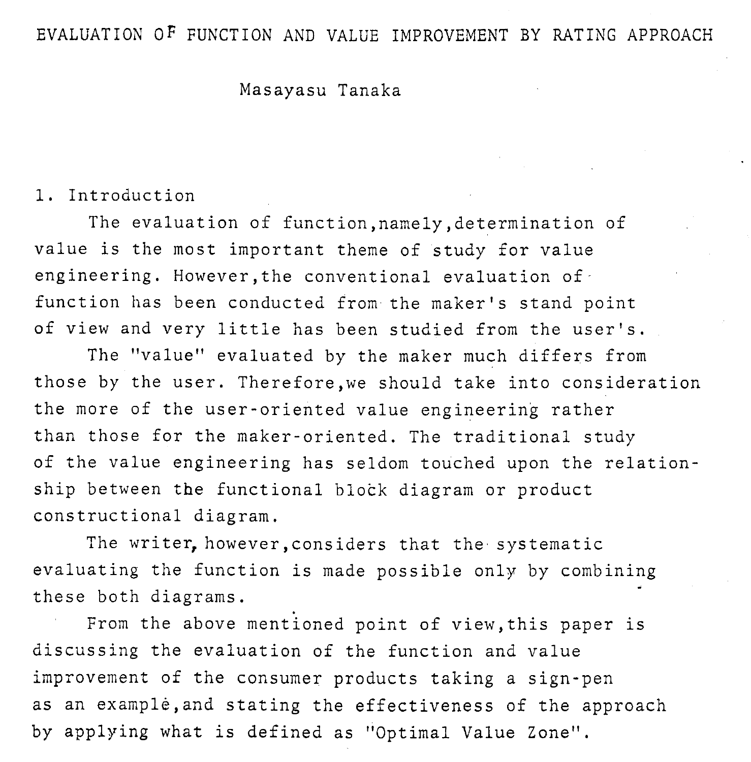## EVALUATION OF FUNCTION AND VALUE IMPROVEMENT BY RATING APPROACH

#### Masayasu Tanaka

#### 1. Introduction

The evaluation of function,namely,determination of value is the most important theme of study for value engineering. However, the conventional evaluation of function has been conducted from the maker's stand point of view and very little has been studied from the user's.

The "value" evaluated by the maker much differs from those by the user. Therefore,we should take into consideration the more of the user-oriented value engineering rather than those for the maker-oriented. The traditional study of the value engineering has seldom touched upon the relationship between the functional block diagram or product constructional diagram.

The writer, however, considers that the systematic evaluating the function is made possible only by combining these both diagrams.

From the above mentioned point of view,this paper is discussing the evaluation of the function and value improvement of the consumer products taking a sign-pen as an example, and stating the effectiveness of the approach by applying what is defined as "Optimal Value Zone".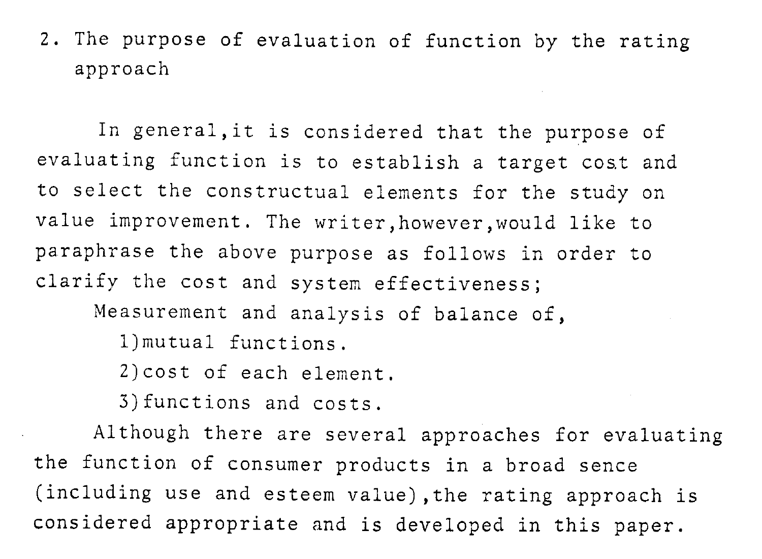## 2. The purpose of evaluation of function by the rating approach

In genera1,it is considered that the purpose of evaluating function is to establish a target cost and to select the constructual elements for the study on value improvement. The writer,however,would like to paraphrase the above purpose as follows in order to clarify the cost and system effectiveness;

Measurement and analysis of balance of,

1)mutual functions.

2)cost of each element.

3) functions and costs.

Although there are several approaches for evaluating the function of consumer products in a broad sence (including use and esteem value),the rating approach is considered appropriate and is developed in this paper.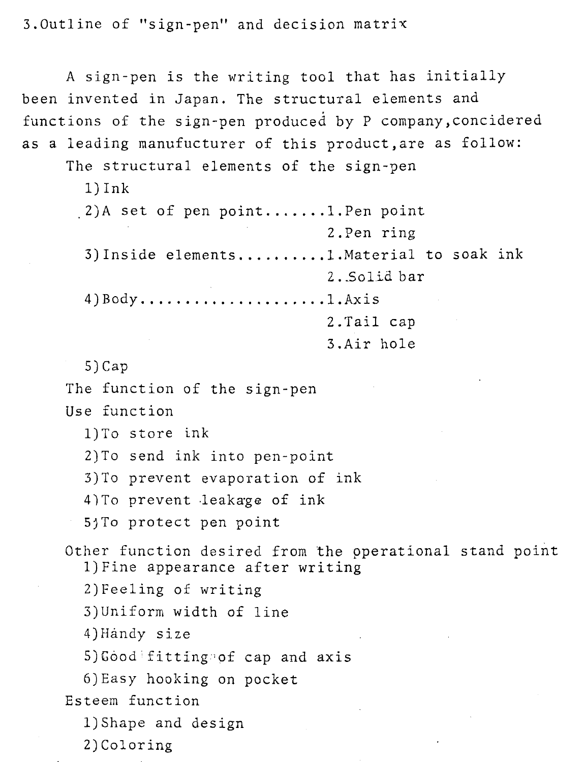3.0utline of "sign-pen" and decision matrix

A sign-pen is the writing tool that has initially been invented in Japan. The structural elements and functions of the sign-pen produced by P company, concidered as a leading manufucturer of this product,are as follow:

The structural elements of the sign-pen

1) Ink

.2)A set of pen point ....... l.Pen point 2 .Pen ring 3)Inside elements .......... l.Materia1 to soak ink 2. .Solid bar 4)Body ............,........l.Axis 2.Tail cap

3.Air hole

**5)** Cap

The function of the sign-pen

Use function

1)To store ink

2)To send ink into pen-point

3) To prevent evaporation of ink

4) To prevent leakage of ink

5jT0 protect pen point

Other function desired from the pperational stand point 1)Fine appearance after writing

2)Feeling of writing

3)Uniform width of line

4)Handy size

5) Good fitting of cap and axis

6)Easy hooking on pocket

Esteem function

1)Shape and design

2) Coloring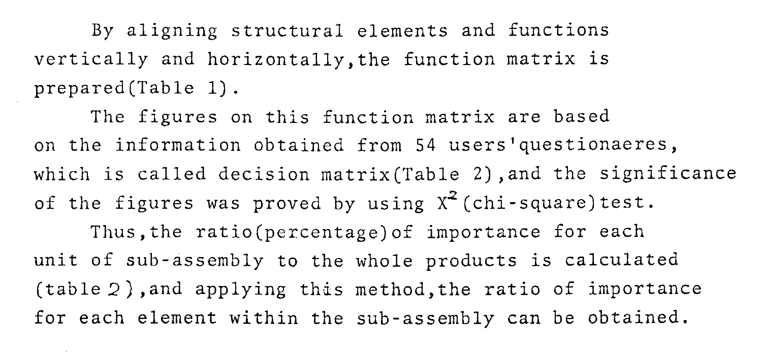By aligning structural elements and functions vertically and horizontally,the function matrix is prepared(Tab1e 1).

The figures on this function matrix are based on the information obtained from 54 users'questionaeres, which is called decision matrix(Tab1e 2),and the significance of the figures was proved by using  $X^2$  (chi-square) test. Thus, the ratio(percentage) of importance for each unit of sub-assembly to the whole products is calculated (table 2) ,and applying this method, the ratio of importance for each element within the sub-assembly can be obtained.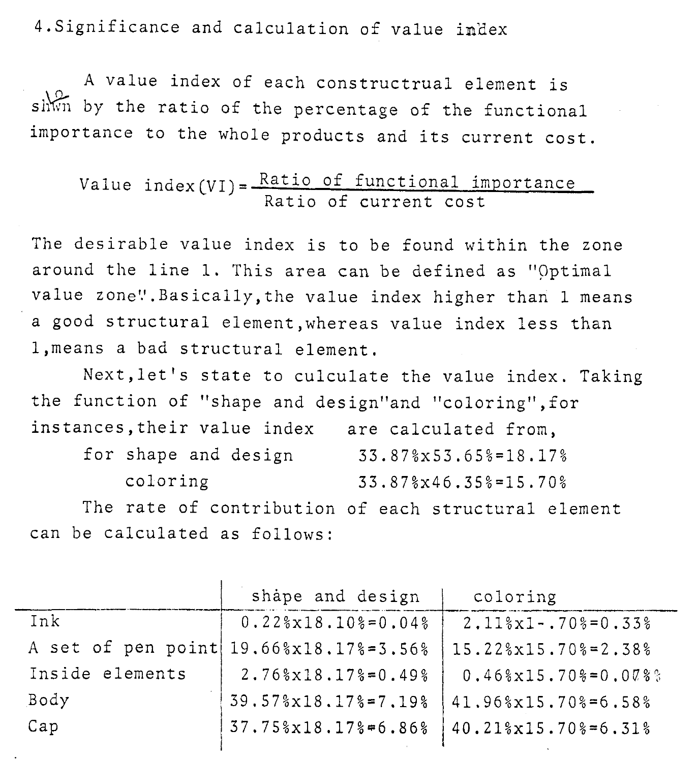4,Significance and calculation of value in'dex

A value index of each constructrual element is  $\frac{1}{2}$  shwn by the ratio of the percentage of the functional importance to the whole products and its current cost.

### value  $index(VI) = \frac{Ra + 1000I_1}{I}$  importance Ratio of current cost

The desirable value index is to be found within the zone around the line 1. This area can be defined as "Optimal value zone". Basically, the value index higher than 1 means a good structural element,whereas value index less than 1,means a bad structural element.

Next, let's state to culculate the value index. Taking the function of "shape and design"and "coloring", for instances,their value index are calculated from,

| for shape and design | $33.87$ $x53.65$ $s=18.17$ $s$ |
|----------------------|--------------------------------|
| coloring             | $33.87$ $346.35$ $= 15.70$ $8$ |

The rate of contribution of each structural element can be calculated as follows:

|                 | shape and design                       | coloring                                               |
|-----------------|----------------------------------------|--------------------------------------------------------|
| Ink             | $0.22\$ $x18.10\$ = $0.04\$            | $2.11\frac{1}{2}x1 - .70\frac{1}{2} = 0.33\frac{1}{2}$ |
|                 | A set of pen point 19.66%x18.17%=3.56% | 15.22%x15.70%=2.38%                                    |
| Inside elements | $2.76\$ $x18.17\$ $= 0.49\$            | $0.46\$ $x15.70\$ =0.00%                               |
| Body            | 39.57%x18.17%=7.19%                    | 41.96%x15.70%=6.58%                                    |
| Cap             | 37.75%x18.17%=6.86%                    | $40.21$ $x15.70$ $s=6.31$ $s$                          |
|                 |                                        |                                                        |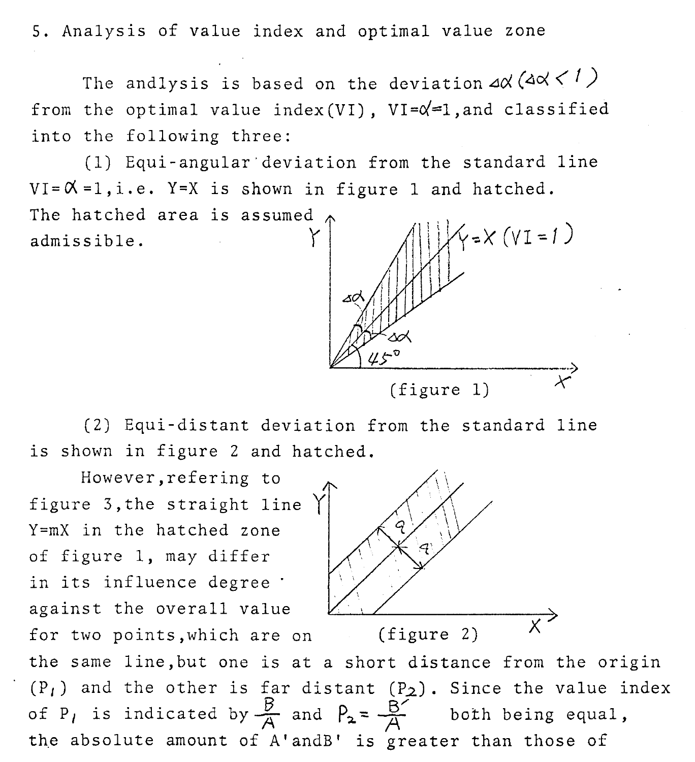5. Analysis of value index and optimal value zone

The andlysis is based on the deviation  $\Delta x$  ( $\Delta x$  <  $\ell$ ) from the optimal value index(VI),  $VI = \alpha = 1$ , and classified into the following three:

(1) Equi-angular'deviation from the standard line  $VI = \emptyset = 1, i.e.$  Y=X is shown in figure 1 and hatched. The hatched area is assumed  $\zeta$  =  $\times$  (v I = 1) admissible.

(figure 1)

(2) Equi-distant deviation from the standard line is shown in figure 2 and hatched.

However,refering to figure 3,the straight line Y=mX in the hatched zone of figure 1, may differ in its influence degree ' against the overall value for two points, which are on (figure 2) of P<sub>1</sub> is indicated by  $\frac{B}{A}$  and  $P_2 = \frac{B^2}{A}$ 



the same line,but one is at a short distance from the origin  $(P_1)$  and the other is far distant  $(P_2)$ . Since the value index both being equal, the absolute amount of A'andB' is greater than those of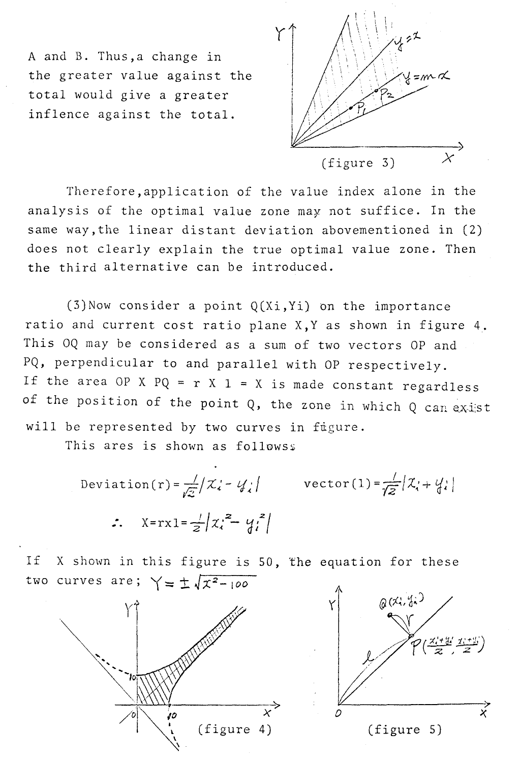A and B. Thus,a change in the greater value against the total would give a greater inflence against the total.



Therefore,application of the value index alone in the analysis of the optimal value zone may not suffice. In the same way,the linear distant deviation abovementioned in (2) does not clearly explain the true optimal value zone. Then the third alternative can be introduced.

 $(3)$ Now consider a point  $Q(Xi, Yi)$  on the importance ratio and current cost ratio plane X,Y as shown in figure 4. This OQ may be considered as a sum of two vectors OP and PQ, perpendicular to and parallel with OP respectively. If the area OP X  $PQ = r X 1 = X$  is made constant regardless of the position of the point  $Q$ , the zone in which  $Q$  can exist will be represented by two curves in fugure.

This ares is shown as followss

$$
\text{Deviation}(r) = \frac{1}{\sqrt{2}} \left| \chi_i - \psi_i \right| \qquad \text{vector (1)} = \frac{1}{\sqrt{2}} \left| \chi_i + \psi_i \right|
$$
\n
$$
\therefore \quad \chi = rx1 = \frac{1}{2} \left| \chi_i^2 - \psi_i^2 \right|
$$

If X shown in this figure is 50, The equation for these two curves are;  $\gamma = \pm \sqrt{x^2-100}$ 



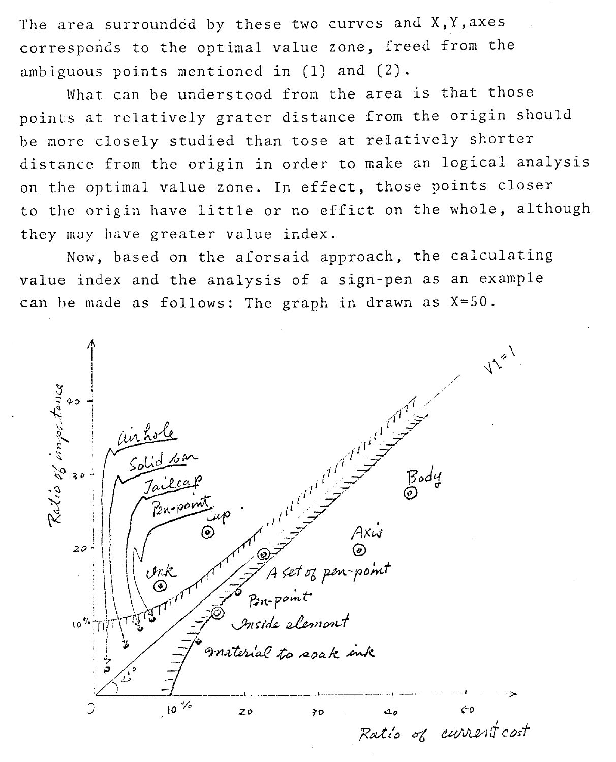The area surrounded by these two curves and  $X, Y,$  axes corresponds to the optimal value zone, freed from the ambiguous points mentioned in (1) and (2).

What can be understood from the area is that those points at relatively grater distance from the origin should be more closely studied than tose at relatively shorter distance from the origin in order to make an logical analysis on the optimal value zone. In effect, those points closer to the origin have little or no effict on the whole, although they may have greater value index.

Now, based on the aforsaid approach, the calculating value index and the analysis of a sign-pen as an example can be made as follows: The graph in drawn as X=50.

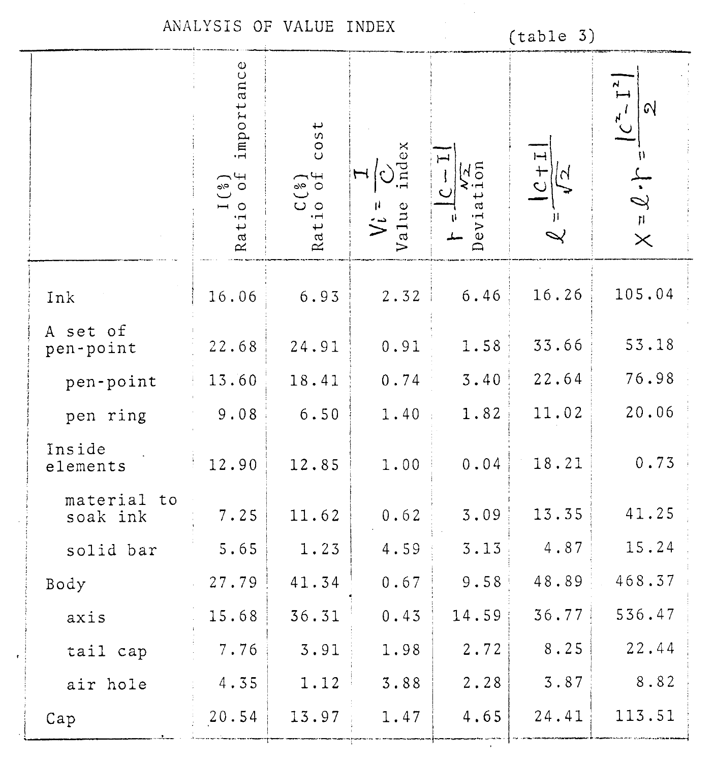ANALYSIS OF VALUE INDEX

 $\cdot$ 

# $(table 3)$

|                         | importance<br>$\sim$ 0<br>$\circ$<br>Rati | cost<br>$\begin{array}{c} C({}^8_2) \\ \text{Ratio of} \end{array}$ | ndex<br>Value | λg<br>Deviat | $\frac{+}{\sqrt{2}}$<br>$\mathsf{N}$ | $\Omega$<br>$\cdot \mathcal{J} =$<br>$\times$ |
|-------------------------|-------------------------------------------|---------------------------------------------------------------------|---------------|--------------|--------------------------------------|-----------------------------------------------|
| $Ink$                   | 16.06                                     | 6.93                                                                | 2.32          | $6.46$       | 16.26                                | 105.04                                        |
| A set of<br>pen-point   | 22.68                                     | 24.91                                                               | 0.91          | 1.58         | 33.66                                | 53.18                                         |
| pen-point               | 13.60                                     | 18.41                                                               | 0.74          | 3.40         | 22.64                                | 76.98                                         |
| pen ring                | 9.08                                      | 6.50                                                                | 1.40          | 1.82         | 11.02                                | 20.06                                         |
| Inside<br>elements      | 12.90                                     | 12.85                                                               | 1.00          | 0.04         | 18.21                                | 0.73                                          |
| material to<br>soak ink | 7.25                                      | 11.62                                                               | 0.62          | 3.09         | 13.35                                | 41.25                                         |
| solid bar               | 5.65                                      | 1.23                                                                | 4.59          | 3.13         | 4.87                                 | 15.24                                         |
| Body                    | 27.79                                     | 41.34                                                               | 0.67          | 9.58         | 48.89                                | 468.37                                        |
| axis                    | 15.68                                     | 36.31                                                               | 0.43          | 14.59        | 36.77                                | 536.47                                        |
| tail cap                | 7.76                                      | 3.91                                                                | 1.98          | 2.72         | 8.25                                 | 22.44                                         |
| air hole                | 4.35                                      | 1.12                                                                | 3.88          | 2.28         | 3.87                                 | 8.82                                          |
| Cap                     | 20.54                                     | 13.97                                                               | 1.47          | 4.65         | 24.41                                | 113.51                                        |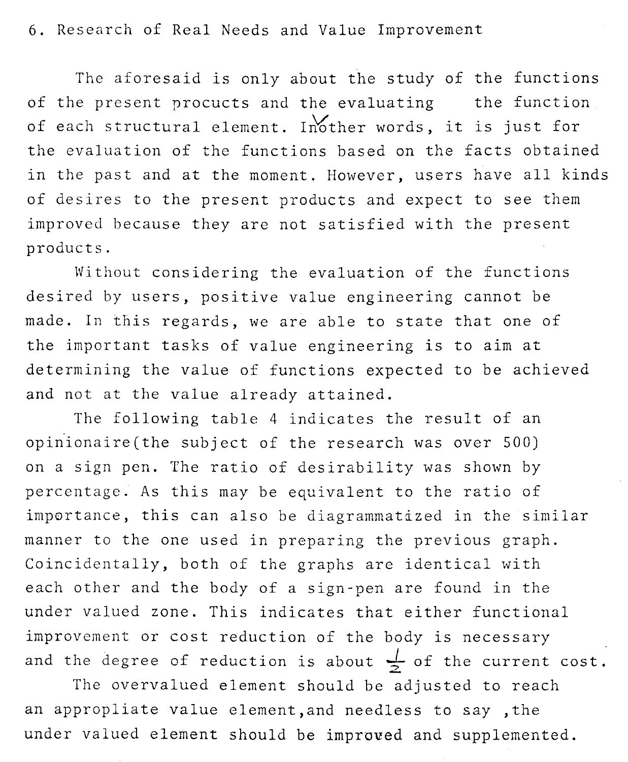6. Research of Real Needs and Value Improvement

The aforesaid is only about the study of the functions of the present procucts and the evaluating the function of each structural element. Inother words, it is just for the evaluation of the functions based on the facts obtained in the past and at the moment. However, users have all kinds of desires to the present products and expect to see them improved because they are not satisfied with the present products.

Without considering the evaluation of the functions desired by users, positive value engineering cannot be made. In this regards, we are able to state that one of the important tasks of value engineering is to aim at determining the value of functions expected to be achieved and not at the value already attained.

The following table 4 indicates the result of an opinionaire(the subject of the research was over 500) on a sign pen. The ratio of desirability was shown by percentage. As this may be equivalent to the ratio of importance, this can also be diagrammatized in the similar manner to the one used in preparing the previous graph. Coincidentally, both of the graphs are identical with each other and the body of a sign-pen are found in the under valued zone. This indicates that either functional improvement or cost reduction of the body is necessary and the degree of reduction is about  $\frac{1}{2}$  of the current cost.

The overvalued element should be adjusted to reach an appropliate value element,and needless to say ,the under valued element should be improved and supplemented.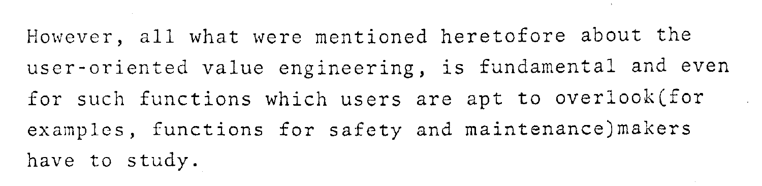However, all what were mentioned heretofore about the user-oriented value engineering, is fundamental and even for such functions which users are apt to overlook(for examples, functions for safety and maintenance)makers have to study.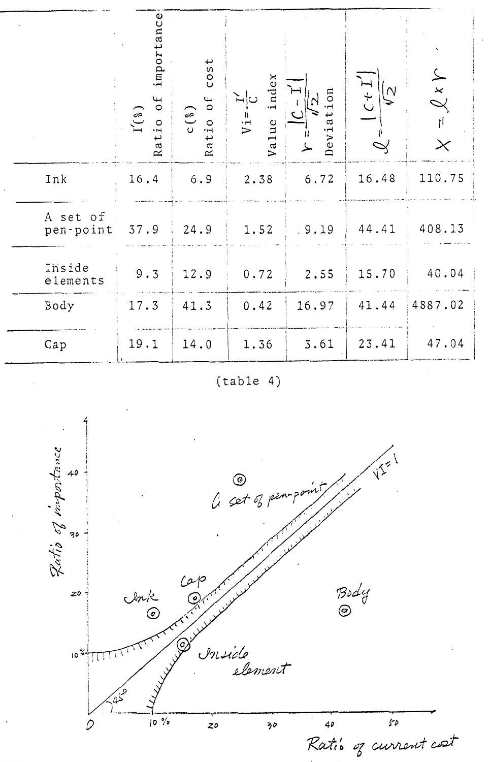|                       | tance<br>import<br>оf<br>$I'({}_{\delta})$<br>Ratio | cos t<br>$0f$<br>C(3)<br>Ratio | index<br>`⊣∣ు<br>$V_1 =$<br>Value | Deviation | $\pm 1$<br>$\mathcal{N}_{\mathcal{N}}$ | $X \times Y$<br>ţĺ<br>$\times$ |
|-----------------------|-----------------------------------------------------|--------------------------------|-----------------------------------|-----------|----------------------------------------|--------------------------------|
| Ink                   | 16.4                                                | $6.9$                          | 2.38                              | 6.72      | 16.48                                  | 110.75                         |
| A set of<br>pen-point | 37.9                                                | 24.9                           | 1.52                              | .9.19     | 44.41                                  | 408.13                         |
| Inside<br>elements    | 9.3                                                 | 12.9                           | 0.72                              | 2.55      | 15.70                                  | 40.04                          |
| Body                  | 17.3                                                | 41.3                           | 0.42                              | 16.97     | 41.44                                  | 4887.02                        |
| Cap                   | 19.1                                                | 14.0                           | 1.36                              | 3.61      | 23.41                                  | 47.04                          |

 $(table 4)$ 

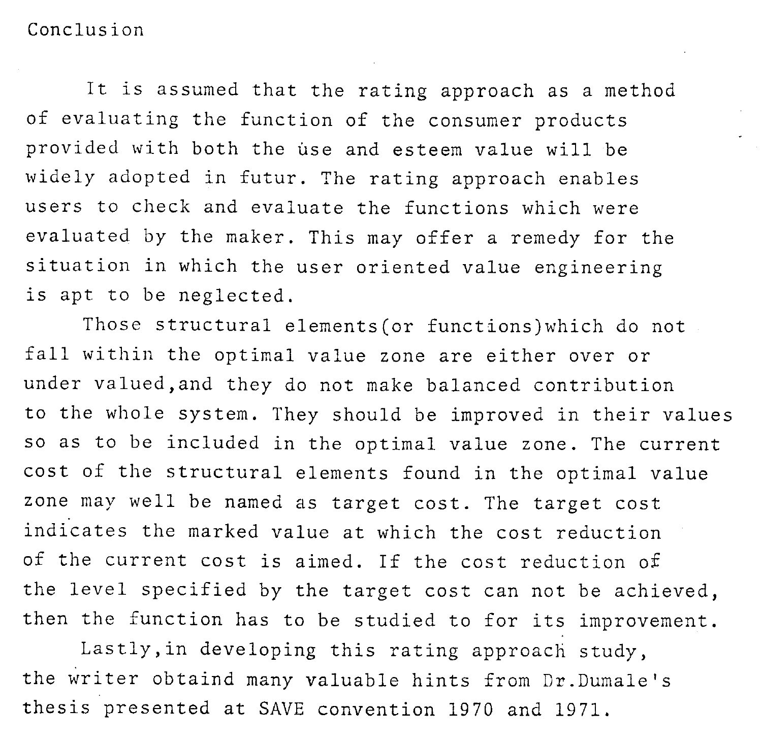Conclusion

It is assumed that the rating approach as a method of evaluating the function of the consumer products provided with both the use and esteem value will be widely adopted in futur. The rating approach enables users to check and evaluate the functions which were evaluated by the maker. This may offer a remedy for the situation in which the user oriented value engineering is apt to be neglected.

Those structural elements(or functions)which do not fall within the optimal value zone are either over or under valued,and they do not make balanced contribution to the whole system. They should be improved in their values so as to be included in the optimal value zone. The current cost of the structural elements found in the optimal value zone may well be named as target cost. The target cost indicates the marked value at which the cost reduction of the current cost is aimed. If the cost reduction of the level specified by the target cost can not be achieved, then the function has to be studied to for its improvement.

Lastly,in developing this rating approach study, the writer obtaind many valuable hints from Dr.Dumale's thesis presented at SAVE convention 1970 and 1971,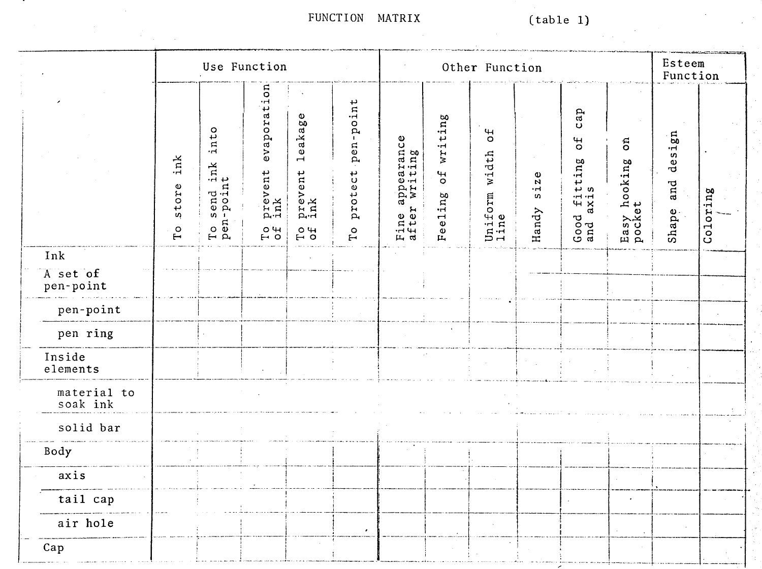FUNCTION MATRIX

|                         |                                  |                                           | Use Function                                           |                                         |                                         |                                            |                                     | Other Function                          |                                       |                                                               |                                    | Esteem<br>Function     |                          |
|-------------------------|----------------------------------|-------------------------------------------|--------------------------------------------------------|-----------------------------------------|-----------------------------------------|--------------------------------------------|-------------------------------------|-----------------------------------------|---------------------------------------|---------------------------------------------------------------|------------------------------------|------------------------|--------------------------|
|                         | ink<br>store<br>$\Gamma^{\rm o}$ | into<br>send ink<br>rpoint<br>To .<br>Pen | evaporation<br>prevent<br>ink<br>$_{\rm T}^{\rm O}$ of | leakage<br>prevent<br>ink<br>$^{0}_{0}$ | -point<br>pen-<br>protect<br>$\Gamma$ o | appearance<br>* writing<br>Fine a<br>after | writing<br>$\frac{4}{5}$<br>Feeling | 5 <sup>o</sup><br>Uniform width<br>line | $\mathbf{z}$ e<br>$\ddot{5}$<br>Handy | cap<br>5 <sup>o</sup><br>l fitting<br>axis<br>Good $\epsilon$ | $\delta$<br>Easy hooking<br>pocket | design<br>and<br>Shape | oring<br>Co <sub>1</sub> |
| Ink                     |                                  |                                           |                                                        |                                         |                                         |                                            |                                     |                                         |                                       |                                                               |                                    |                        |                          |
| A set of<br>pen-point   |                                  |                                           |                                                        |                                         |                                         |                                            |                                     |                                         |                                       |                                                               |                                    |                        |                          |
| pen-point               |                                  |                                           |                                                        |                                         |                                         |                                            |                                     |                                         |                                       |                                                               |                                    |                        |                          |
| pen ring                |                                  |                                           |                                                        |                                         |                                         |                                            |                                     |                                         |                                       |                                                               |                                    |                        |                          |
| Inside<br>elements      |                                  |                                           |                                                        |                                         |                                         |                                            |                                     |                                         |                                       |                                                               |                                    |                        |                          |
| material to<br>soak ink |                                  |                                           |                                                        |                                         |                                         |                                            |                                     |                                         |                                       |                                                               |                                    |                        |                          |
| solid bar               |                                  |                                           |                                                        |                                         |                                         |                                            |                                     |                                         |                                       |                                                               |                                    |                        |                          |
| Body                    |                                  |                                           |                                                        |                                         |                                         |                                            |                                     |                                         |                                       |                                                               |                                    |                        |                          |
| axis                    |                                  |                                           |                                                        |                                         |                                         |                                            |                                     |                                         |                                       |                                                               |                                    |                        |                          |
| tail cap                |                                  |                                           |                                                        |                                         |                                         |                                            |                                     |                                         |                                       |                                                               |                                    |                        |                          |
| air hole                |                                  |                                           |                                                        |                                         |                                         |                                            |                                     |                                         |                                       |                                                               |                                    |                        |                          |
| Cap                     |                                  |                                           |                                                        |                                         |                                         |                                            |                                     |                                         |                                       |                                                               |                                    |                        |                          |